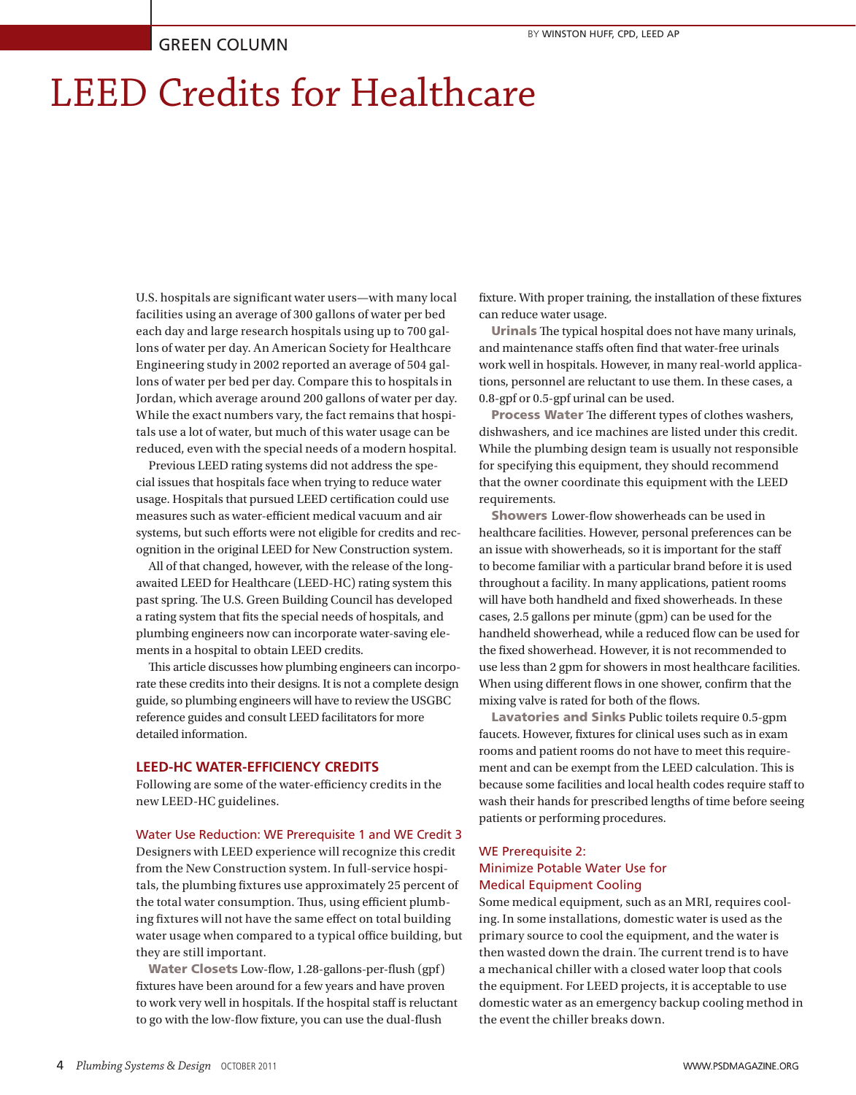# LEED Credits for Healthcare

U.S. hospitals are significant water users—with many local facilities using an average of 300 gallons of water per bed each day and large research hospitals using up to 700 gallons of water per day. An American Society for Healthcare Engineering study in 2002 reported an average of 504 gallons of water per bed per day. Compare this to hospitals in Jordan, which average around 200 gallons of water per day. While the exact numbers vary, the fact remains that hospitals use a lot of water, but much of this water usage can be reduced, even with the special needs of a modern hospital.

Previous LEED rating systems did not address the special issues that hospitals face when trying to reduce water usage. Hospitals that pursued LEED certification could use measures such as water-efficient medical vacuum and air systems, but such efforts were not eligible for credits and recognition in the original LEED for New Construction system.

All of that changed, however, with the release of the longawaited LEED for Healthcare (LEED-HC) rating system this past spring. The U.S. Green Building Council has developed a rating system that fits the special needs of hospitals, and plumbing engineers now can incorporate water-saving elements in a hospital to obtain LEED credits.

This article discusses how plumbing engineers can incorporate these credits into their designs. It is not a complete design guide, so plumbing engineers will have to review the USGBC reference guides and consult LEED facilitators for more detailed information.

#### **LEED-HC WATER-EFFICIENCY CREDITS**

Following are some of the water-efficiency credits in the new LEED-HC guidelines.

#### Water Use Reduction: WE Prerequisite 1 and WE Credit 3

Designers with LEED experience will recognize this credit from the New Construction system. In full-service hospitals, the plumbing fixtures use approximately 25 percent of the total water consumption. Thus, using efficient plumbing fixtures will not have the same effect on total building water usage when compared to a typical office building, but they are still important.

Water Closets Low-flow, 1.28-gallons-per-flush (gpf) fixtures have been around for a few years and have proven to work very well in hospitals. If the hospital staff is reluctant to go with the low-flow fixture, you can use the dual-flush

fixture. With proper training, the installation of these fixtures can reduce water usage.

Urinals The typical hospital does not have many urinals, and maintenance staffs often find that water-free urinals work well in hospitals. However, in many real-world applications, personnel are reluctant to use them. In these cases, a 0.8-gpf or 0.5-gpf urinal can be used.

Process Water The different types of clothes washers, dishwashers, and ice machines are listed under this credit. While the plumbing design team is usually not responsible for specifying this equipment, they should recommend that the owner coordinate this equipment with the LEED requirements.

Showers Lower-flow showerheads can be used in healthcare facilities. However, personal preferences can be an issue with showerheads, so it is important for the staff to become familiar with a particular brand before it is used throughout a facility. In many applications, patient rooms will have both handheld and fixed showerheads. In these cases, 2.5 gallons per minute (gpm) can be used for the handheld showerhead, while a reduced flow can be used for the fixed showerhead. However, it is not recommended to use less than 2 gpm for showers in most healthcare facilities. When using different flows in one shower, confirm that the mixing valve is rated for both of the flows.

Lavatories and Sinks Public toilets require 0.5-gpm faucets. However, fixtures for clinical uses such as in exam rooms and patient rooms do not have to meet this requirement and can be exempt from the LEED calculation. This is because some facilities and local health codes require staff to wash their hands for prescribed lengths of time before seeing patients or performing procedures.

#### WE Prerequisite 2: Minimize Potable Water Use for Medical Equipment Cooling

Some medical equipment, such as an MRI, requires cooling. In some installations, domestic water is used as the primary source to cool the equipment, and the water is then wasted down the drain. The current trend is to have a mechanical chiller with a closed water loop that cools the equipment. For LEED projects, it is acceptable to use domestic water as an emergency backup cooling method in the event the chiller breaks down.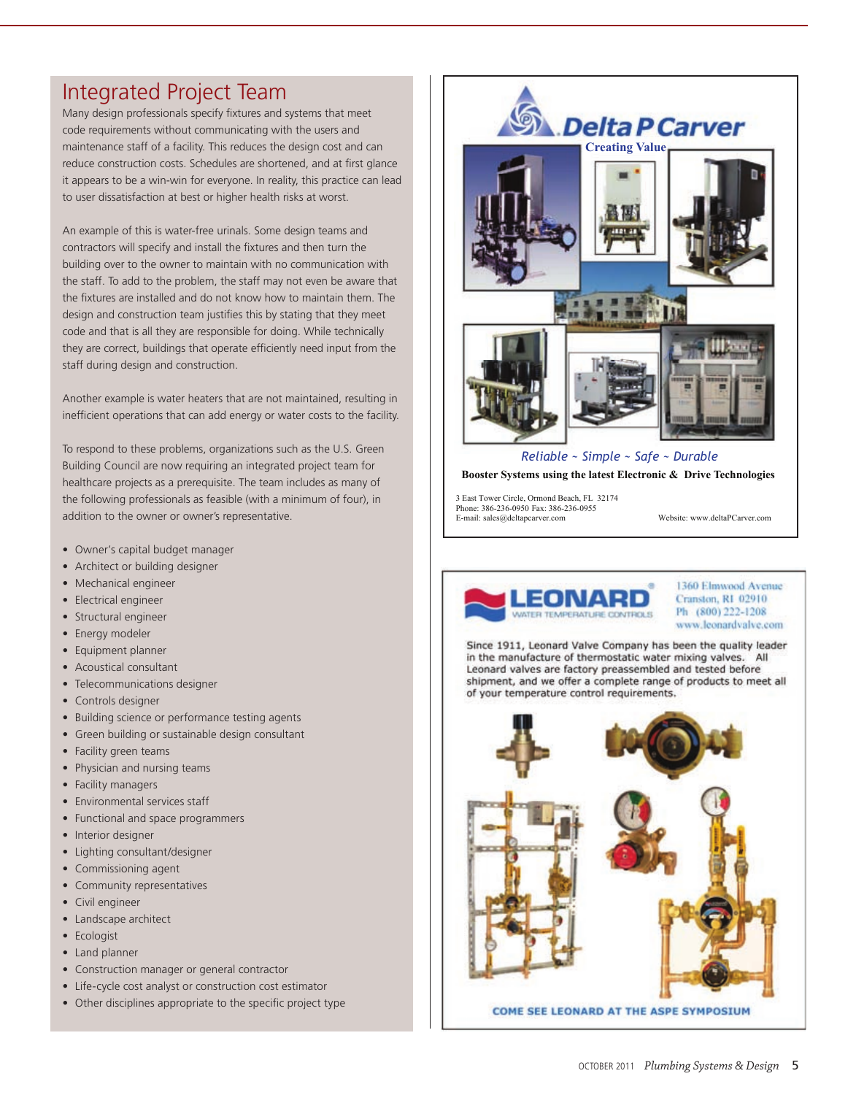# Integrated Project Team

Many design professionals specify fixtures and systems that meet code requirements without communicating with the users and maintenance staff of a facility. This reduces the design cost and can reduce construction costs. Schedules are shortened, and at first glance it appears to be a win-win for everyone. In reality, this practice can lead to user dissatisfaction at best or higher health risks at worst.

An example of this is water-free urinals. Some design teams and contractors will specify and install the fixtures and then turn the building over to the owner to maintain with no communication with the staff. To add to the problem, the staff may not even be aware that the fixtures are installed and do not know how to maintain them. The design and construction team justifies this by stating that they meet code and that is all they are responsible for doing. While technically they are correct, buildings that operate efficiently need input from the staff during design and construction.

Another example is water heaters that are not maintained, resulting in inefficient operations that can add energy or water costs to the facility.

To respond to these problems, organizations such as the U.S. Green Building Council are now requiring an integrated project team for healthcare projects as a prerequisite. The team includes as many of the following professionals as feasible (with a minimum of four), in addition to the owner or owner's representative.

- Owner's capital budget manager
- Architect or building designer
- • Mechanical engineer
- Electrical engineer
- Structural engineer
- Energy modeler
- Equipment planner
- • Acoustical consultant
- Telecommunications designer
- Controls designer
- Building science or performance testing agents
- Green building or sustainable design consultant
- Facility green teams
- Physician and nursing teams
- Facility managers
- • Environmental services staff
- Functional and space programmers
- Interior designer
- Lighting consultant/designer
- Commissioning agent
- Community representatives
- Civil engineer
- Landscape architect
- Ecologist
- Land planner
- Construction manager or general contractor
- Life-cycle cost analyst or construction cost estimator
- Other disciplines appropriate to the specific project type



**Booster Systems using the latest Electronic & Drive Technologies** 

3 East Tower Circle, Ormond Beach, FL 32174 Phone: 386-236-0950 Fax: 386-236-0955 E-mail: sales@deltapcarver.com Website: www.deltaPCarver.com



1360 Elmwood Avenue **Cranston, R1 02910** Ph (800) 222-1208 www.leonardvalve.com

Since 1911, Leonard Valve Company has been the quality leader in the manufacture of thermostatic water mixing valves. All Leonard valves are factory preassembled and tested before shipment, and we offer a complete range of products to meet all of your temperature control requirements.

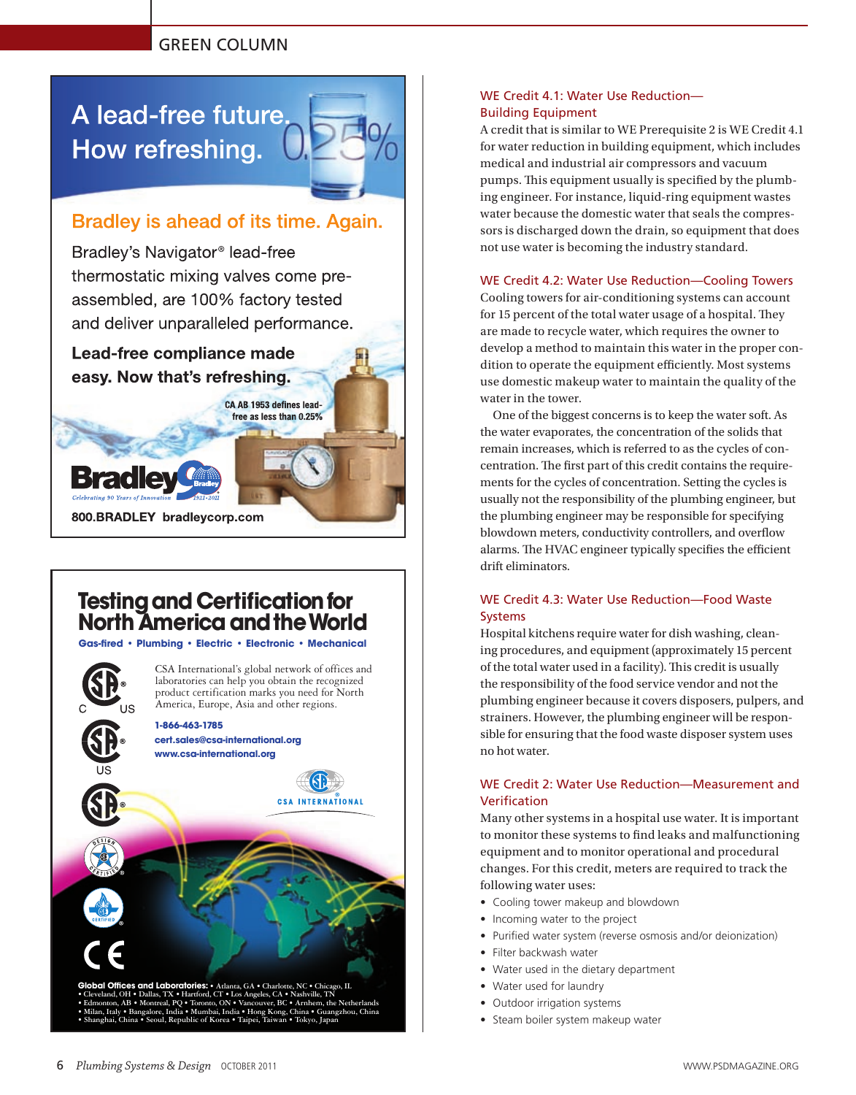## GREEN COLUMN

A lead-free future. How refreshing.

# Bradley is ahead of its time. Again.

Bradley's Navigator<sup>®</sup> lead-free thermostatic mixing valves come preassembled, are 100% factory tested and deliver unparalleled performance.

Lead-free compliance made easy. Now that's refreshing.

> CA AB 1953 defines leadfree as less than 0.25%



# **Testing and Certification for North America and the World**

Gas-fired • Plumbina • Electric • Electronic • Mechanical

CSA International's global network of offices and laboratories can help you obtain the recognized product certification marks you need for North America, Europe, Asia and other regions. **1-866-463-1785 cert.sales@csa-international.org www.csa-international.org CSA INTERNATIONAL Id Laboratories:** • Atlanta, GA • CI • Cleveland, OH • Dallas, TX • Hartford, CT • Los Angeles, CA • Nashville, TN<br>• Edmonton, AB • Montreal, PQ • Toronto, ON • Vancouver, BC • Arnhem, the Netherlands • Milan, Italy • Bangalore, India • Mumbai, India • Hong Kong, China • Guangzhou, China • Shanghai, China • Seoul, Republic of Korea • Taipei, Taiwan • Tokyo, Japan

## WE Credit 4.1: Water Use Reduction— Building Equipment

A credit that is similar to WE Prerequisite 2 is WE Credit 4.1 for water reduction in building equipment, which includes medical and industrial air compressors and vacuum pumps. This equipment usually is specified by the plumbing engineer. For instance, liquid-ring equipment wastes water because the domestic water that seals the compressors is discharged down the drain, so equipment that does not use water is becoming the industry standard.

#### WE Credit 4.2: Water Use Reduction—Cooling Towers

Cooling towers for air-conditioning systems can account for 15 percent of the total water usage of a hospital. They are made to recycle water, which requires the owner to develop a method to maintain this water in the proper condition to operate the equipment efficiently. Most systems use domestic makeup water to maintain the quality of the water in the tower.

One of the biggest concerns is to keep the water soft. As the water evaporates, the concentration of the solids that remain increases, which is referred to as the cycles of concentration. The first part of this credit contains the requirements for the cycles of concentration. Setting the cycles is usually not the responsibility of the plumbing engineer, but the plumbing engineer may be responsible for specifying blowdown meters, conductivity controllers, and overflow alarms. The HVAC engineer typically specifies the efficient drift eliminators.

### WE Credit 4.3: Water Use Reduction—Food Waste Systems

Hospital kitchens require water for dish washing, cleaning procedures, and equipment (approximately 15 percent of the total water used in a facility). This credit is usually the responsibility of the food service vendor and not the plumbing engineer because it covers disposers, pulpers, and strainers. However, the plumbing engineer will be responsible for ensuring that the food waste disposer system uses no hot water.

## WE Credit 2: Water Use Reduction—Measurement and Verification

Many other systems in a hospital use water. It is important to monitor these systems to find leaks and malfunctioning equipment and to monitor operational and procedural changes. For this credit, meters are required to track the following water uses:

- Cooling tower makeup and blowdown
- Incoming water to the project
- Purified water system (reverse osmosis and/or deionization)
- • Filter backwash water
- • Water used in the dietary department
- Water used for laundry
- Outdoor irrigation systems
- Steam boiler system makeup water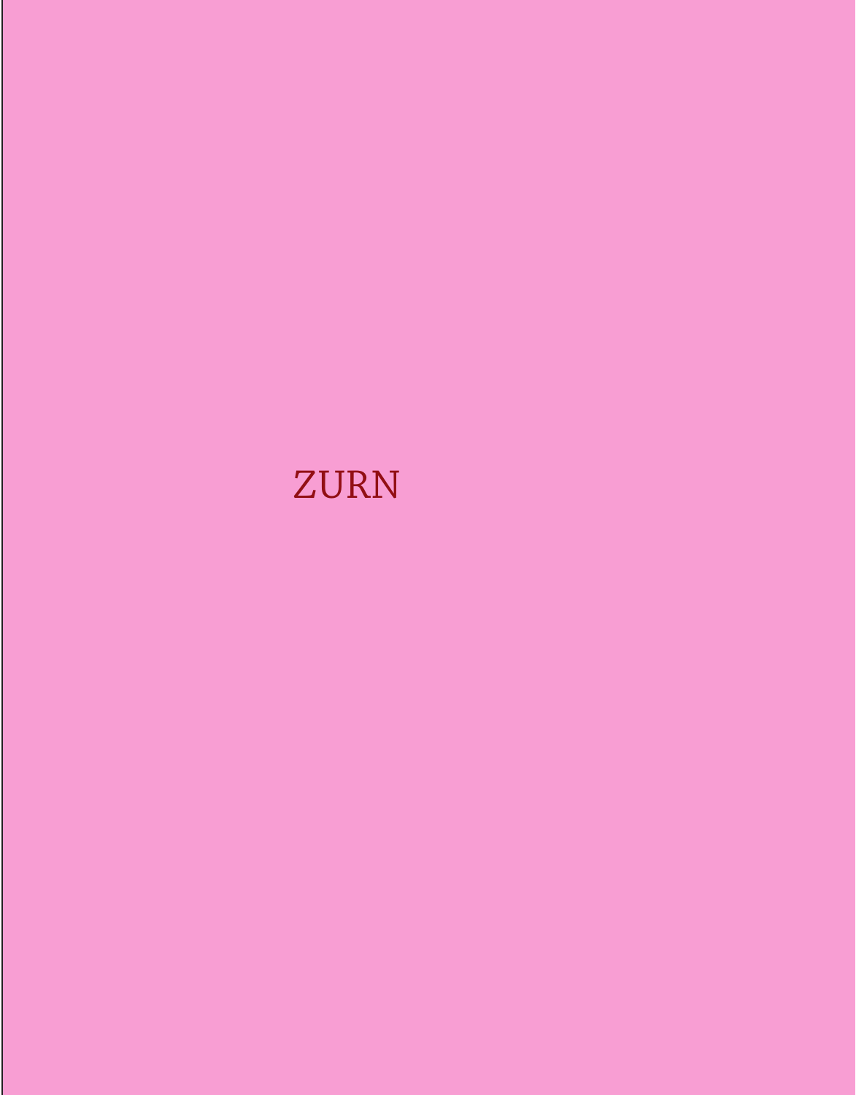# **ZURN**